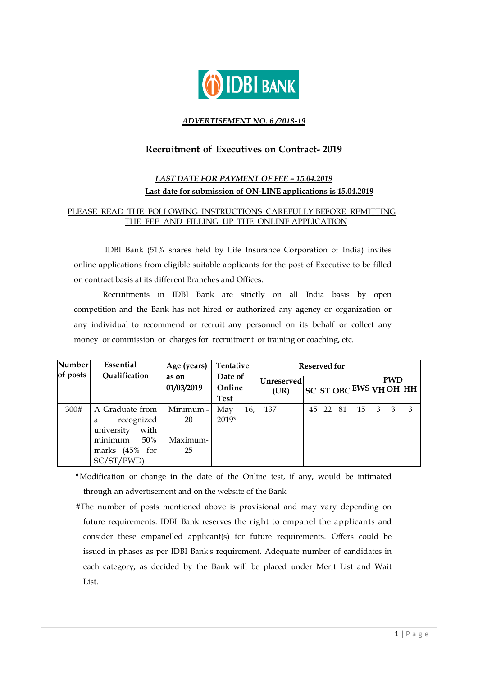

### *ADVERTISEMENT NO. 6 /2018-19*

# **Recruitment of Executives on Contract- 2019**

# *LAST DATE FOR PAYMENT OF FEE – 15.04.2019* **Last date for submission of ON-LINE applications is 15.04.2019**

# PLEASE READ THE FOLLOWING INSTRUCTIONS CAREFULLY BEFORE REMITTING THE FEE AND FILLING UP THE ONLINE APPLICATION

IDBI Bank (51% shares held by Life Insurance Corporation of India) invites online applications from eligible suitable applicants for the post of Executive to be filled on contract basis at its different Branches and Offices.

Recruitments in IDBI Bank are strictly on all India basis by open competition and the Bank has not hired or authorized any agency or organization or any individual to recommend or recruit any personnel on its behalf or collect any money or commission or charges for recruitment or training or coaching, etc.

| Number <br>of posts | Essential<br>Qualification                                                                                | Age (years)                       | Tentative                        |     | <b>Reserved for</b> |    |    |    |                       |   |            |   |
|---------------------|-----------------------------------------------------------------------------------------------------------|-----------------------------------|----------------------------------|-----|---------------------|----|----|----|-----------------------|---|------------|---|
|                     |                                                                                                           | as on<br>01/03/2019               | Date of<br>Online<br><b>Test</b> |     | Unreserved<br>(UR)  |    |    |    | SC ST OBC EWS VHOH HH |   | <b>PWD</b> |   |
| 300#                | A Graduate from<br>recognized<br>a<br>with<br>university<br>minimum<br>50%<br>marks (45% for<br>SC/ST/PWD | Minimum -<br>20<br>Maximum-<br>25 | May<br>$2019*$                   | 16, | 137                 | 45 | 22 | 81 | 15                    | 3 | 3          | 3 |

**\***Modification or change in the date of the Online test, if any, would be intimated through an advertisement and on the website of the Bank

#The number of posts mentioned above is provisional and may vary depending on future requirements. IDBI Bank reserves the right to empanel the applicants and consider these empanelled applicant(s) for future requirements. Offers could be issued in phases as per IDBI Bank's requirement. Adequate number of candidates in each category, as decided by the Bank will be placed under Merit List and Wait List.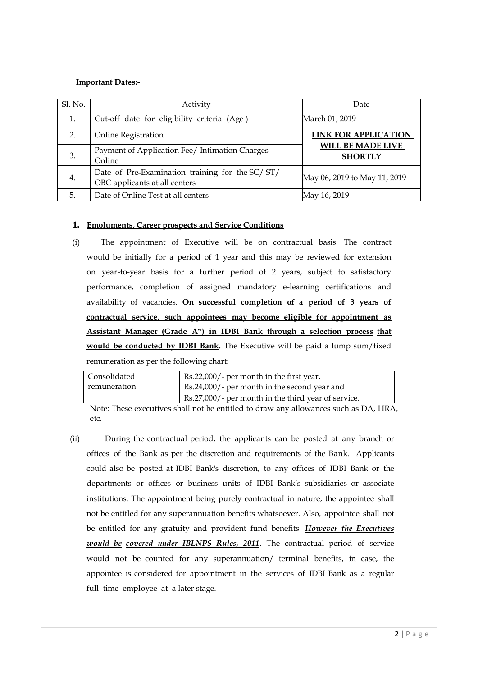### **Important Dates:-**

| Sl. No. | Activity                                                                         | Date                                       |
|---------|----------------------------------------------------------------------------------|--------------------------------------------|
| 1.      | Cut-off date for eligibility criteria (Age)                                      | March 01, 2019                             |
| 2.      | <b>Online Registration</b>                                                       | <b>LINK FOR APPLICATION</b>                |
| 3.      | Payment of Application Fee/ Intimation Charges -<br>Online                       | <b>WILL BE MADE LIVE</b><br><b>SHORTLY</b> |
| 4.      | Date of Pre-Examination training for the SC/ST/<br>OBC applicants at all centers | May 06, 2019 to May 11, 2019               |
| 5.      | Date of Online Test at all centers                                               | May 16, 2019                               |

### **1. Emoluments, Career prospects and Service Conditions**

(i) The appointment of Executive will be on contractual basis. The contract would be initially for a period of 1 year and this may be reviewed for extension on year-to-year basis for a further period of 2 years, subject to satisfactory performance, completion of assigned mandatory e-learning certifications and availability of vacancies. **On successful completion of a period of 3 years of contractual service, such appointees may become eligible for appointment as Assistant Manager (Grade A") in IDBI Bank through a selection process that would be conducted by IDBI Bank.** The Executive will be paid a lump sum/fixed remuneration as per the following chart:

| Consolidated | Rs.22,000/- per month in the first year,            |
|--------------|-----------------------------------------------------|
| remuneration | Rs.24,000/- per month in the second year and        |
|              | Rs.27,000/- per month in the third year of service. |

Note: These executives shall not be entitled to draw any allowances such as DA, HRA, etc.

(ii) During the contractual period, the applicants can be posted at any branch or offices of the Bank as per the discretion and requirements of the Bank. Applicants could also be posted at IDBI Bank's discretion, to any offices of IDBI Bank or the departments or offices or business units of IDBI Bank's subsidiaries or associate institutions. The appointment being purely contractual in nature, the appointee shall not be entitled for any superannuation benefits whatsoever. Also, appointee shall not be entitled for any gratuity and provident fund benefits. *However the Executives would be covered under IBLNPS Rules, 2011*. The contractual period of service would not be counted for any superannuation/ terminal benefits, in case, the appointee is considered for appointment in the services of IDBI Bank as a regular full time employee at a later stage.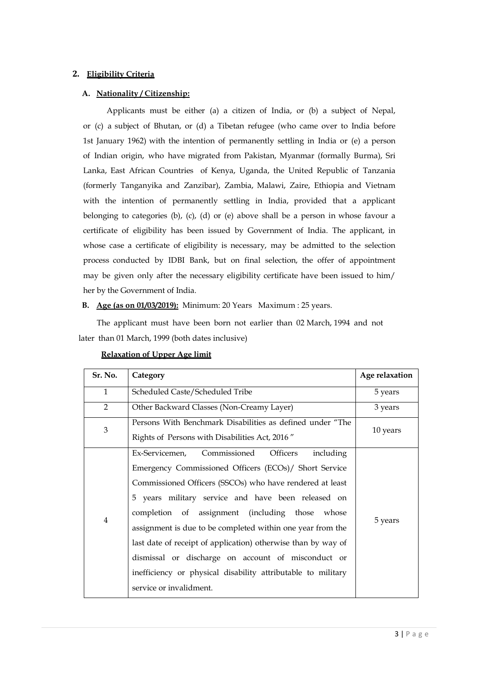### **2. Eligibility Criteria**

### **A. Nationality / Citizenship:**

Applicants must be either (a) a citizen of India, or (b) a subject of Nepal, or (c) a subject of Bhutan, or (d) a Tibetan refugee (who came over to India before 1st January 1962) with the intention of permanently settling in India or (e) a person of Indian origin, who have migrated from Pakistan, Myanmar (formally Burma), Sri Lanka, East African Countries of Kenya, Uganda, the United Republic of Tanzania (formerly Tanganyika and Zanzibar), Zambia, Malawi, Zaire, Ethiopia and Vietnam with the intention of permanently settling in India, provided that a applicant belonging to categories (b), (c), (d) or (e) above shall be a person in whose favour a certificate of eligibility has been issued by Government of India. The applicant, in whose case a certificate of eligibility is necessary, may be admitted to the selection process conducted by IDBI Bank, but on final selection, the offer of appointment may be given only after the necessary eligibility certificate have been issued to him/ her by the Government of India.

### **B. Age (as on 01/03/2019):** Minimum: 20 Years Maximum : 25 years.

 The applicant must have been born not earlier than 02 March, 1994 and not later than 01 March, 1999 (both dates inclusive)

| Sr. No.                     | Category                                                                                                                                                                                                                                                                                                                                                                                                                                                                                                                                                                  | Age relaxation |
|-----------------------------|---------------------------------------------------------------------------------------------------------------------------------------------------------------------------------------------------------------------------------------------------------------------------------------------------------------------------------------------------------------------------------------------------------------------------------------------------------------------------------------------------------------------------------------------------------------------------|----------------|
| $\mathbf{1}$                | Scheduled Caste/Scheduled Tribe                                                                                                                                                                                                                                                                                                                                                                                                                                                                                                                                           | 5 years        |
| $\overline{2}$              | Other Backward Classes (Non-Creamy Layer)                                                                                                                                                                                                                                                                                                                                                                                                                                                                                                                                 | 3 years        |
| $\ensuremath{\mathfrak{Z}}$ | Persons With Benchmark Disabilities as defined under "The<br>Rights of Persons with Disabilities Act, 2016"                                                                                                                                                                                                                                                                                                                                                                                                                                                               | 10 years       |
| $\overline{4}$              | Ex-Servicemen, Commissioned<br><b>Officers</b><br>including<br>Emergency Commissioned Officers (ECOs)/ Short Service<br>Commissioned Officers (SSCOs) who have rendered at least<br>5 years military service and have been released on<br>completion of assignment (including those whose<br>assignment is due to be completed within one year from the<br>last date of receipt of application) otherwise than by way of<br>dismissal or discharge on account of misconduct or<br>inefficiency or physical disability attributable to military<br>service or invalidment. | 5 years        |

#### **Relaxation of Upper Age limit**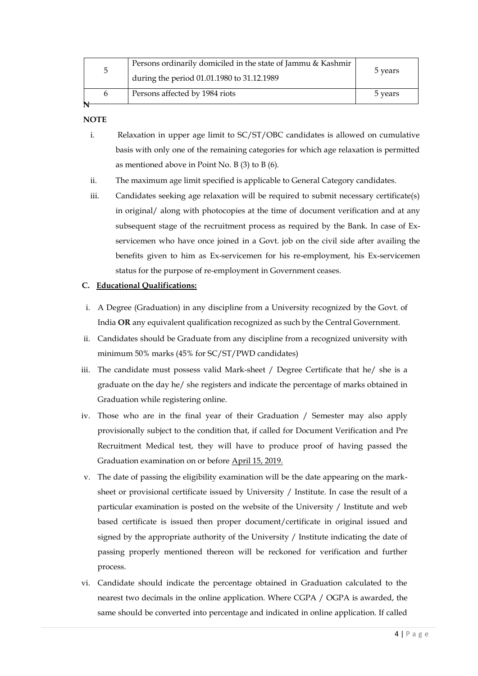| C | Persons ordinarily domiciled in the state of Jammu & Kashmir<br>during the period 01.01.1980 to 31.12.1989 | 5 years |
|---|------------------------------------------------------------------------------------------------------------|---------|
| h | Persons affected by 1984 riots                                                                             | 5 years |

### **NOTE**

- i. Relaxation in upper age limit to SC/ST/OBC candidates is allowed on cumulative basis with only one of the remaining categories for which age relaxation is permitted as mentioned above in Point No. B (3) to B (6).
- ii. The maximum age limit specified is applicable to General Category candidates.
- iii. Candidates seeking age relaxation will be required to submit necessary certificate(s) in original/ along with photocopies at the time of document verification and at any subsequent stage of the recruitment process as required by the Bank. In case of Exservicemen who have once joined in a Govt. job on the civil side after availing the benefits given to him as Ex-servicemen for his re-employment, his Ex-servicemen status for the purpose of re-employment in Government ceases.

### **C. Educational Qualifications:**

- i. A Degree (Graduation) in any discipline from a University recognized by the Govt. of India **OR** any equivalent qualification recognized as such by the Central Government.
- ii. Candidates should be Graduate from any discipline from a recognized university with minimum 50% marks (45% for SC/ST/PWD candidates)
- iii. The candidate must possess valid Mark-sheet / Degree Certificate that he/ she is a graduate on the day he/ she registers and indicate the percentage of marks obtained in Graduation while registering online.
- iv. Those who are in the final year of their Graduation / Semester may also apply provisionally subject to the condition that, if called for Document Verification and Pre Recruitment Medical test, they will have to produce proof of having passed the Graduation examination on or before April 15, 2019.
- v. The date of passing the eligibility examination will be the date appearing on the marksheet or provisional certificate issued by University / Institute. In case the result of a particular examination is posted on the website of the University / Institute and web based certificate is issued then proper document/certificate in original issued and signed by the appropriate authority of the University / Institute indicating the date of passing properly mentioned thereon will be reckoned for verification and further process.
- vi. Candidate should indicate the percentage obtained in Graduation calculated to the nearest two decimals in the online application. Where CGPA / OGPA is awarded, the same should be converted into percentage and indicated in online application. If called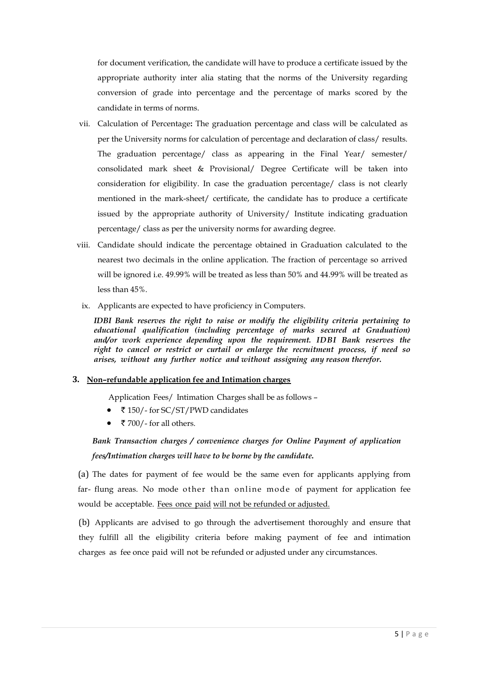for document verification, the candidate will have to produce a certificate issued by the appropriate authority inter alia stating that the norms of the University regarding conversion of grade into percentage and the percentage of marks scored by the candidate in terms of norms.

- vii. Calculation of Percentage**:** The graduation percentage and class will be calculated as per the University norms for calculation of percentage and declaration of class/ results. The graduation percentage/ class as appearing in the Final Year/ semester/ consolidated mark sheet & Provisional/ Degree Certificate will be taken into consideration for eligibility. In case the graduation percentage/ class is not clearly mentioned in the mark-sheet/ certificate, the candidate has to produce a certificate issued by the appropriate authority of University/ Institute indicating graduation percentage/ class as per the university norms for awarding degree.
- viii. Candidate should indicate the percentage obtained in Graduation calculated to the nearest two decimals in the online application. The fraction of percentage so arrived will be ignored i.e. 49.99% will be treated as less than 50% and 44.99% will be treated as less than 45%.
	- ix. Applicants are expected to have proficiency in Computers.

*IDBI Bank reserves the right to raise or modify the eligibility criteria pertaining to educational qualification (including percentage of marks secured at Graduation) and/or work experience depending upon the requirement. IDBI Bank reserves the right to cancel or restrict or curtail or enlarge the recruitment process, if need so arises, without any further notice and without assigning any reason therefor***.**

#### **3. Non–refundable application fee and Intimation charges**

Application Fees/ Intimation Charges shall be as follows –

- ₹150/- for SC/ST/PWD candidates
- ₹ 700/- for all others.

# *Bank Transaction charges / convenience charges for Online Payment of application fees/Intimation charges will have to be borne by the candidate***.**

(a) The dates for payment of fee would be the same even for applicants applying from far- flung areas. No mode other than online mode of payment for application fee would be acceptable. Fees once paid will not be refunded or adjusted.

(b) Applicants are advised to go through the advertisement thoroughly and ensure that they fulfill all the eligibility criteria before making payment of fee and intimation charges as fee once paid will not be refunded or adjusted under any circumstances.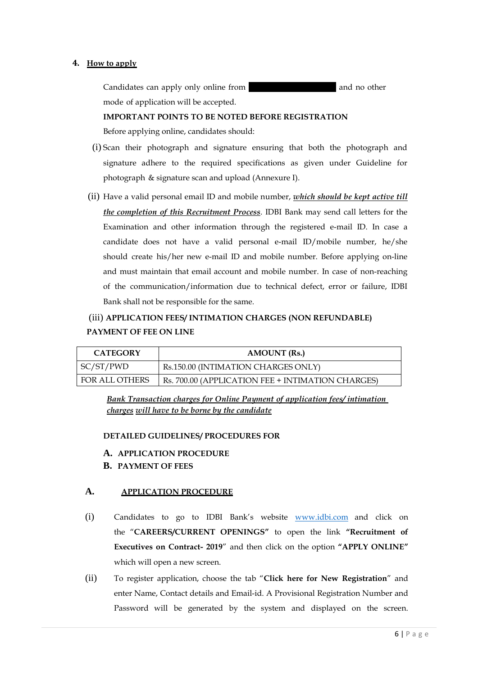### **4. How to apply**

Candidates can apply only online from **04.04.2019** and no other mode of application will be accepted.

#### **IMPORTANT POINTS TO BE NOTED BEFORE REGISTRATION**

Before applying online, candidates should:

- (i) Scan their photograph and signature ensuring that both the photograph and signature adhere to the required specifications as given under Guideline for photograph & signature scan and upload (Annexure I).
- (ii) Have a valid personal email ID and mobile number, *which should be kept active till the completion of this Recruitment Process*. IDBI Bank may send call letters for the Examination and other information through the registered e-mail ID. In case a candidate does not have a valid personal e-mail ID/mobile number, he/she should create his/her new e-mail ID and mobile number. Before applying on-line and must maintain that email account and mobile number. In case of non-reaching of the communication/information due to technical defect, error or failure, IDBI Bank shall not be responsible for the same.

# (iii) **APPLICATION FEES/ INTIMATION CHARGES (NON REFUNDABLE) PAYMENT OF FEE ON LINE**

| <b>CATEGORY</b> | <b>AMOUNT</b> (Rs.)                               |
|-----------------|---------------------------------------------------|
| SC/ST/PWD       | Rs.150.00 (INTIMATION CHARGES ONLY)               |
| FOR ALL OTHERS  | Rs. 700.00 (APPLICATION FEE + INTIMATION CHARGES) |

*Bank Transaction charges for Online Payment of application fees/ intimation charges will have to be borne by the candidate*

### **DETAILED GUIDELINES/ PROCEDURES FOR**

- **A. APPLICATION PROCEDURE**
- **B. PAYMENT OF FEES**

### **A. APPLICATION PROCEDURE**

- (i) Candidates to go to IDBI Bank's website [www.idbi.com](http://www.idbi.com/) and click on the "**CAREERS/CURRENT OPENINGS"** to open the link **"Recruitment of Executives on Contract- 2019**" and then click on the option **"APPLY ONLINE"** which will open a new screen.
- (ii) To register application, choose the tab "**Click here for New Registration**" and enter Name, Contact details and Email-id. A Provisional Registration Number and Password will be generated by the system and displayed on the screen.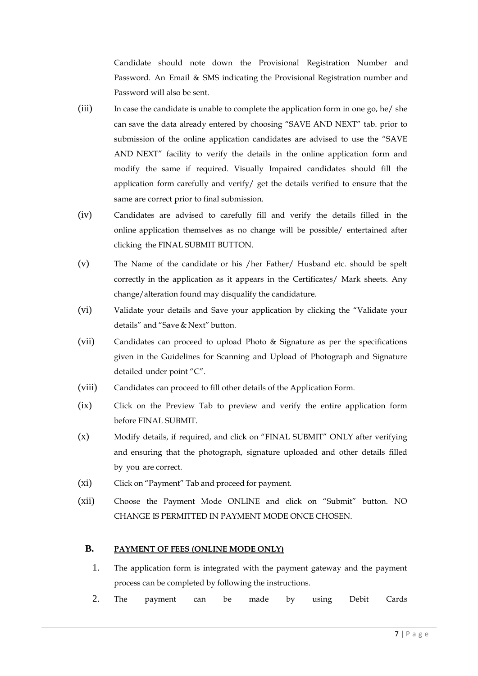Candidate should note down the Provisional Registration Number and Password. An Email & SMS indicating the Provisional Registration number and Password will also be sent.

- (iii) In case the candidate is unable to complete the application form in one go, he/ she can save the data already entered by choosing "SAVE AND NEXT" tab. prior to submission of the online application candidates are advised to use the "SAVE AND NEXT" facility to verify the details in the online application form and modify the same if required. Visually Impaired candidates should fill the application form carefully and verify/ get the details verified to ensure that the same are correct prior to final submission.
- (iv) Candidates are advised to carefully fill and verify the details filled in the online application themselves as no change will be possible/ entertained after clicking the FINAL SUBMIT BUTTON.
- (v) The Name of the candidate or his /her Father/ Husband etc. should be spelt correctly in the application as it appears in the Certificates/ Mark sheets. Any change/alteration found may disqualify the candidature.
- (vi) Validate your details and Save your application by clicking the "Validate your details" and "Save & Next" button.
- (vii) Candidates can proceed to upload Photo & Signature as per the specifications given in the Guidelines for Scanning and Upload of Photograph and Signature detailed under point "C".
- (viii) Candidates can proceed to fill other details of the Application Form.
- (ix) Click on the Preview Tab to preview and verify the entire application form before FINAL SUBMIT.
- (x) Modify details, if required, and click on "FINAL SUBMIT" ONLY after verifying and ensuring that the photograph, signature uploaded and other details filled by you are correct.
- (xi) Click on "Payment" Tab and proceed for payment.
- (xii) Choose the Payment Mode ONLINE and click on "Submit" button. NO CHANGE IS PERMITTED IN PAYMENT MODE ONCE CHOSEN.

# **B. PAYMENT OF FEES (ONLINE MODE ONLY)**

- 1. The application form is integrated with the payment gateway and the payment process can be completed by following the instructions.
- 2. The payment can be made by using Debit Cards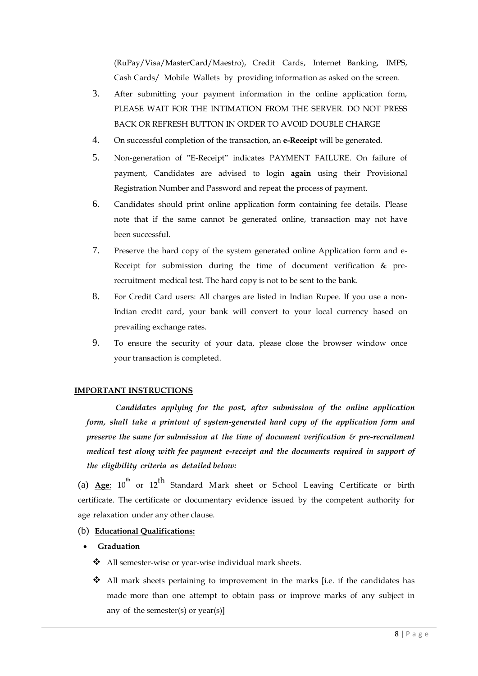(RuPay/Visa/MasterCard/Maestro), Credit Cards, Internet Banking, IMPS, Cash Cards/ Mobile Wallets by providing information as asked on the screen.

- 3. After submitting your payment information in the online application form, PLEASE WAIT FOR THE INTIMATION FROM THE SERVER. DO NOT PRESS BACK OR REFRESH BUTTON IN ORDER TO AVOID DOUBLE CHARGE
- 4. On successful completion of the transaction, an **e-Receipt** will be generated.
- 5. Non-generation of "E-Receipt" indicates PAYMENT FAILURE. On failure of payment, Candidates are advised to login **again** using their Provisional Registration Number and Password and repeat the process of payment.
- 6. Candidates should print online application form containing fee details. Please note that if the same cannot be generated online, transaction may not have been successful.
- 7. Preserve the hard copy of the system generated online Application form and e-Receipt for submission during the time of document verification & prerecruitment medical test. The hard copy is not to be sent to the bank.
- 8. For Credit Card users: All charges are listed in Indian Rupee. If you use a non-Indian credit card, your bank will convert to your local currency based on prevailing exchange rates.
- 9. To ensure the security of your data, please close the browser window once your transaction is completed.

## **IMPORTANT INSTRUCTIONS**

*Candidates applying for the post, after submission of the online application form, shall take a printout of system-generated hard copy of the application form and preserve the same for submission at the time of document verification & pre-recruitment medical test along with fee payment e-receipt and the documents required in support of the eligibility criteria as detailed below:*

(a) **Age**: 10<sup>th</sup> or 12<sup>th</sup> Standard Mark sheet or School Leaving Certificate or birth certificate. The certificate or documentary evidence issued by the competent authority for age relaxation under any other clause.

- (b) **Educational Qualifications:**
- **Graduation**
	- ❖ All semester-wise or year-wise individual mark sheets.
	- All mark sheets pertaining to improvement in the marks [i.e. if the candidates has made more than one attempt to obtain pass or improve marks of any subject in any of the semester(s) or  $year(s)$ ]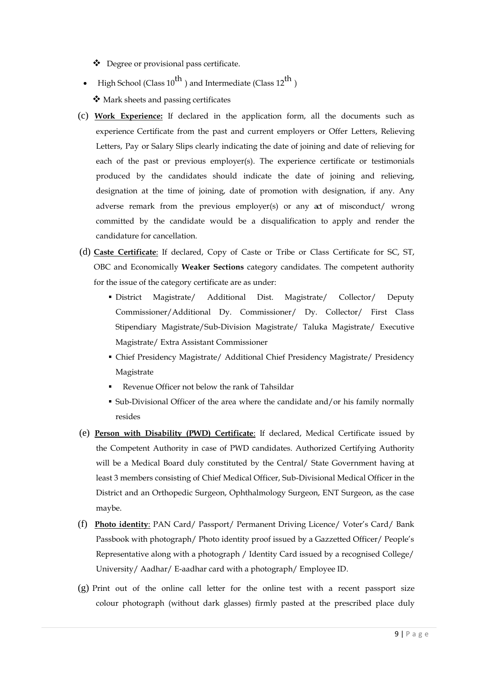Degree or provisional pass certificate.

- High School (Class  $10^{th}$  ) and Intermediate (Class  $12^{th}$  ) Mark sheets and passing certificates
- (c) **Work Experience:** If declared in the application form, all the documents such as experience Certificate from the past and current employers or Offer Letters, Relieving Letters, Pay or Salary Slips clearly indicating the date of joining and date of relieving for each of the past or previous employer(s). The experience certificate or testimonials produced by the candidates should indicate the date of joining and relieving, designation at the time of joining, date of promotion with designation, if any. Any adverse remark from the previous employer(s) or any act of misconduct/ wrong committed by the candidate would be a disqualification to apply and render the candidature for cancellation.
- (d) **Caste Certificate**: If declared, Copy of Caste or Tribe or Class Certificate for SC, ST, OBC and Economically **Weaker Sections** category candidates. The competent authority for the issue of the category certificate are as under:
	- District Magistrate/ Additional Dist. Magistrate/ Collector/ Deputy Commissioner/Additional Dy. Commissioner/ Dy. Collector/ First Class Stipendiary Magistrate/Sub-Division Magistrate/ Taluka Magistrate/ Executive Magistrate/ Extra Assistant Commissioner
	- Chief Presidency Magistrate/ Additional Chief Presidency Magistrate/ Presidency Magistrate
	- Revenue Officer not below the rank of Tahsildar
	- Sub-Divisional Officer of the area where the candidate and/or his family normally resides
- (e) **Person with Disability (PWD) Certificate**: If declared, Medical Certificate issued by the Competent Authority in case of PWD candidates. Authorized Certifying Authority will be a Medical Board duly constituted by the Central/ State Government having at least 3 members consisting of Chief Medical Officer, Sub-Divisional Medical Officer in the District and an Orthopedic Surgeon, Ophthalmology Surgeon, ENT Surgeon, as the case maybe.
- (f) **Photo identity**: PAN Card/ Passport/ Permanent Driving Licence/ Voter's Card/ Bank Passbook with photograph/ Photo identity proof issued by a Gazzetted Officer/ People's Representative along with a photograph / Identity Card issued by a recognised College/ University/ Aadhar/ E-aadhar card with a photograph/ Employee ID.
- (g) Print out of the online call letter for the online test with a recent passport size colour photograph (without dark glasses) firmly pasted at the prescribed place duly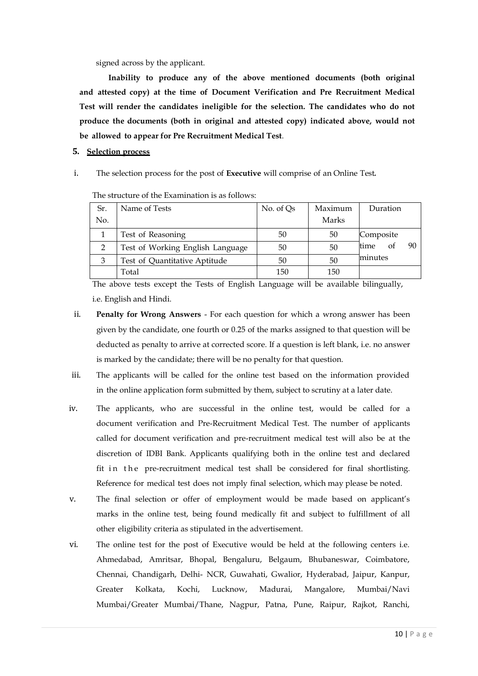signed across by the applicant.

**Inability to produce any of the above mentioned documents (both original and attested copy) at the time of Document Verification and Pre Recruitment Medical Test will render the candidates ineligible for the selection. The candidates who do not produce the documents (both in original and attested copy) indicated above, would not be allowed to appear for Pre Recruitment Medical Test**.

### **5. Selection process**

i. The selection process for the post of **Executive** will comprise of an Online Test*.*

| Sr. | Name of Tests                    | No. of Qs | Maximum | Duration         |
|-----|----------------------------------|-----------|---------|------------------|
| No. |                                  |           | Marks   |                  |
|     | Test of Reasoning                | 50        | 50      | Composite        |
| 2   | Test of Working English Language | 50        | 50      | time<br>90<br>оt |
| 3   | Test of Quantitative Aptitude    | 50        | 50      | minutes          |
|     | Total                            | 150       | 150     |                  |

The structure of the Examination is as follows:

The above tests except the Tests of English Language will be available bilingually, i.e. English and Hindi.

- ii. **Penalty for Wrong Answers** For each question for which a wrong answer has been given by the candidate, one fourth or 0.25 of the marks assigned to that question will be deducted as penalty to arrive at corrected score. If a question is left blank, i.e. no answer is marked by the candidate; there will be no penalty for that question.
- iii. The applicants will be called for the online test based on the information provided in the online application form submitted by them, subject to scrutiny at a later date.
- iv. The applicants, who are successful in the online test, would be called for a document verification and Pre-Recruitment Medical Test. The number of applicants called for document verification and pre-recruitment medical test will also be at the discretion of IDBI Bank. Applicants qualifying both in the online test and declared fit in the pre-recruitment medical test shall be considered for final shortlisting. Reference for medical test does not imply final selection, which may please be noted.
- v. The final selection or offer of employment would be made based on applicant's marks in the online test, being found medically fit and subject to fulfillment of all other eligibility criteria as stipulated in the advertisement.
- vi. The online test for the post of Executive would be held at the following centers i.e. Ahmedabad, Amritsar, Bhopal, Bengaluru, Belgaum, Bhubaneswar, Coimbatore, Chennai, Chandigarh, Delhi- NCR, Guwahati, Gwalior, Hyderabad, Jaipur, Kanpur, Greater Kolkata, Kochi, Lucknow, Madurai, Mangalore, Mumbai/Navi Mumbai/Greater Mumbai/Thane, Nagpur, Patna, Pune, Raipur, Rajkot, Ranchi,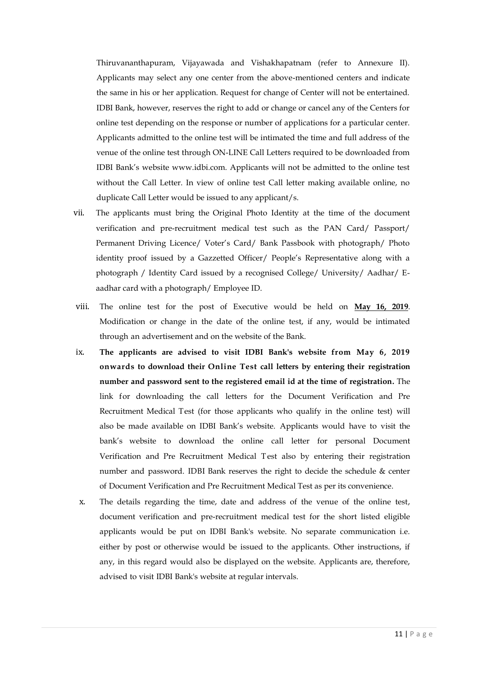Thiruvananthapuram, Vijayawada and Vishakhapatnam (refer to Annexure II). Applicants may select any one center from the above-mentioned centers and indicate the same in his or her application. Request for change of Center will not be entertained. IDBI Bank, however, reserves the right to add or change or cancel any of the Centers for online test depending on the response or number of applications for a particular center. Applicants admitted to the online test will be intimated the time and full address of the venue of the online test through ON-LINE Call Letters required to be downloaded from IDBI Bank's website [www.idbi.com. A](http://www.idbi.com/)pplicants will not be admitted to the online test without the Call Letter. In view of online test Call letter making available online, no duplicate Call Letter would be issued to any applicant/s.

- vii. The applicants must bring the Original Photo Identity at the time of the document verification and pre-recruitment medical test such as the PAN Card/ Passport/ Permanent Driving Licence/ Voter's Card/ Bank Passbook with photograph/ Photo identity proof issued by a Gazzetted Officer/ People's Representative along with a photograph / Identity Card issued by a recognised College/ University/ Aadhar/ Eaadhar card with a photograph/ Employee ID.
- viii. The online test for the post of Executive would be held on **May 16, 2019**. Modification or change in the date of the online test, if any, would be intimated through an advertisement and on the website of the Bank.
- ix. **The applicants are advised to visit IDBI Bank's website from May 6, 2019 onwards to download their Online Test call letters by entering their registration number and password sent to the registered email id at the time of registration.** The link for downloading the call letters for the Document Verification and Pre Recruitment Medical Test (for those applicants who qualify in the online test) will also be made available on IDBI Bank's website. Applicants would have to visit the bank's website to download the online call letter for personal Document Verification and Pre Recruitment Medical Test also by entering their registration number and password. IDBI Bank reserves the right to decide the schedule & center of Document Verification and Pre Recruitment Medical Test as per its convenience.
- x. The details regarding the time, date and address of the venue of the online test, document verification and pre-recruitment medical test for the short listed eligible applicants would be put on IDBI Bank's website. No separate communication i.e. either by post or otherwise would be issued to the applicants. Other instructions, if any, in this regard would also be displayed on the website. Applicants are, therefore, advised to visit IDBI Bank's website at regular intervals.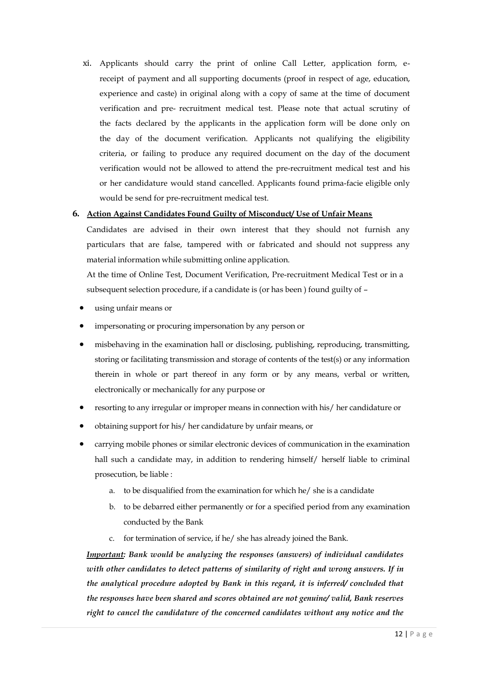xi. Applicants should carry the print of online Call Letter, application form, ereceipt of payment and all supporting documents (proof in respect of age, education, experience and caste) in original along with a copy of same at the time of document verification and pre- recruitment medical test. Please note that actual scrutiny of the facts declared by the applicants in the application form will be done only on the day of the document verification. Applicants not qualifying the eligibility criteria, or failing to produce any required document on the day of the document verification would not be allowed to attend the pre-recruitment medical test and his or her candidature would stand cancelled. Applicants found prima-facie eligible only would be send for pre-recruitment medical test.

### **6. Action Against Candidates Found Guilty of Misconduct/ Use of Unfair Means**

Candidates are advised in their own interest that they should not furnish any particulars that are false, tampered with or fabricated and should not suppress any material information while submitting online application.

At the time of Online Test, Document Verification, Pre-recruitment Medical Test or in a subsequent selection procedure, if a candidate is (or has been ) found guilty of –

- using unfair means or
- impersonating or procuring impersonation by any person or
- misbehaving in the examination hall or disclosing, publishing, reproducing, transmitting, storing or facilitating transmission and storage of contents of the test(s) or any information therein in whole or part thereof in any form or by any means, verbal or written, electronically or mechanically for any purpose or
- resorting to any irregular or improper means in connection with his/ her candidature or
- obtaining support for his/ her candidature by unfair means, or
- carrying mobile phones or similar electronic devices of communication in the examination hall such a candidate may, in addition to rendering himself/ herself liable to criminal prosecution, be liable :
	- a. to be disqualified from the examination for which he/ she is a candidate
	- b. to be debarred either permanently or for a specified period from any examination conducted by the Bank
	- c. for termination of service, if he/ she has already joined the Bank.

*Important: Bank would be analyzing the responses (answers) of individual candidates with other candidates to detect patterns of similarity of right and wrong answers. If in the analytical procedure adopted by Bank in this regard, it is inferred/ concluded that the responses have been shared and scores obtained are not genuine/ valid, Bank reserves right to cancel the candidature of the concerned candidates without any notice and the*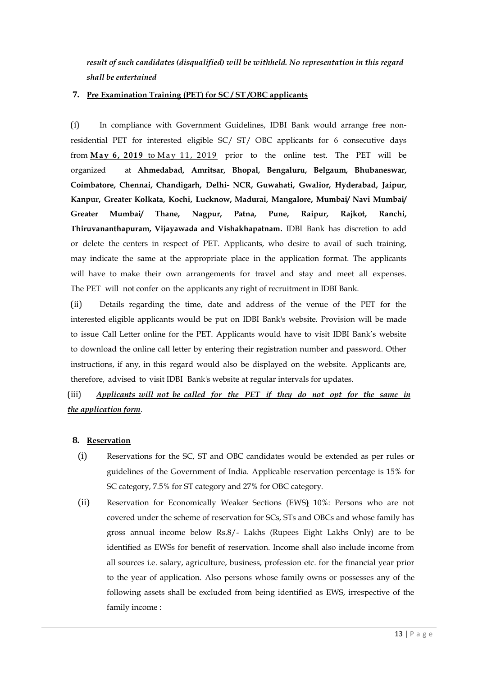*result of such candidates (disqualified) will be withheld. No representation in this regard shall be entertained*

### **7. Pre Examination Training (PET) for SC / ST /OBC applicants**

(i) In compliance with Government Guidelines, IDBI Bank would arrange free nonresidential PET for interested eligible SC/ ST/ OBC applicants for 6 consecutive days from May 6, 2019 to May 11, 2019 prior to the online test. The PET will be organized at **Ahmedabad, Amritsar, Bhopal, Bengaluru, Belgaum, Bhubaneswar, Coimbatore, Chennai, Chandigarh, Delhi- NCR, Guwahati, Gwalior, Hyderabad, Jaipur, Kanpur, Greater Kolkata, Kochi, Lucknow, Madurai, Mangalore, Mumbai/ Navi Mumbai/ Greater Mumbai/ Thane, Nagpur, Patna, Pune, Raipur, Rajkot, Ranchi, Thiruvananthapuram, Vijayawada and Vishakhapatnam.** IDBI Bank has discretion to add or delete the centers in respect of PET. Applicants, who desire to avail of such training, may indicate the same at the appropriate place in the application format. The applicants will have to make their own arrangements for travel and stay and meet all expenses. The PET will not confer on the applicants any right of recruitment in IDBI Bank.

(ii) Details regarding the time, date and address of the venue of the PET for the interested eligible applicants would be put on IDBI Bank's website. Provision will be made to issue Call Letter online for the PET. Applicants would have to visit IDBI Bank's website to download the online call letter by entering their registration number and password. Other instructions, if any, in this regard would also be displayed on the website. Applicants are, therefore, advised to visit IDBI Bank's website at regular intervals for updates.

(iii) *Applicants will not be called for the PET if they do not opt for the same in the application form*.

### **8. Reservation**

- (i) Reservations for the SC, ST and OBC candidates would be extended as per rules or guidelines of the Government of India. Applicable reservation percentage is 15% for SC category, 7.5% for ST category and 27% for OBC category.
- (ii) Reservation for Economically Weaker Sections (EWS**)** 10%: Persons who are not covered under the scheme of reservation for SCs, STs and OBCs and whose family has gross annual income below Rs.8/- Lakhs (Rupees Eight Lakhs Only) are to be identified as EWSs for benefit of reservation. Income shall also include income from all sources i.e. salary, agriculture, business, profession etc. for the financial year prior to the year of application. Also persons whose family owns or possesses any of the following assets shall be excluded from being identified as EWS, irrespective of the family income :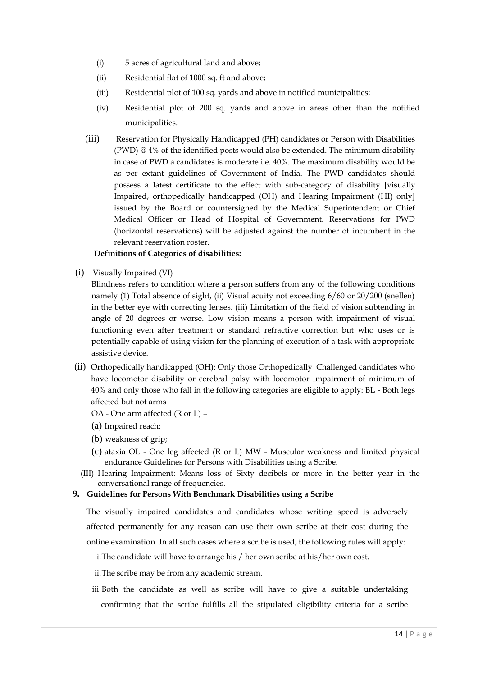- (i) 5 acres of agricultural land and above;
- (ii) Residential flat of 1000 sq. ft and above;
- (iii) Residential plot of 100 sq. yards and above in notified municipalities;
- (iv) Residential plot of 200 sq. yards and above in areas other than the notified municipalities.
- (iii) Reservation for Physically Handicapped (PH) candidates or Person with Disabilities (PWD) @ 4% of the identified posts would also be extended. The minimum disability in case of PWD a candidates is moderate i.e. 40%. The maximum disability would be as per extant guidelines of Government of India. The PWD candidates should possess a latest certificate to the effect with sub-category of disability [visually Impaired, orthopedically handicapped (OH) and Hearing Impairment (HI) only] issued by the Board or countersigned by the Medical Superintendent or Chief Medical Officer or Head of Hospital of Government. Reservations for PWD (horizontal reservations) will be adjusted against the number of incumbent in the relevant reservation roster.

# **Definitions of Categories of disabilities:**

(i) Visually Impaired (VI)

Blindness refers to condition where a person suffers from any of the following conditions namely (1) Total absence of sight, (ii) Visual acuity not exceeding 6/60 or 20/200 (snellen) in the better eye with correcting lenses. (iii) Limitation of the field of vision subtending in angle of 20 degrees or worse. Low vision means a person with impairment of visual functioning even after treatment or standard refractive correction but who uses or is potentially capable of using vision for the planning of execution of a task with appropriate assistive device.

(ii) Orthopedically handicapped (OH): Only those Orthopedically Challenged candidates who have locomotor disability or cerebral palsy with locomotor impairment of minimum of 40% and only those who fall in the following categories are eligible to apply: BL - Both legs affected but not arms

OA - One arm affected (R or L) –

- (a) Impaired reach;
- (b) weakness of grip;
- (c) ataxia OL One leg affected (R or L) MW Muscular weakness and limited physical endurance Guidelines for Persons with Disabilities using a Scribe.
- (III) Hearing Impairment: Means loss of Sixty decibels or more in the better year in the conversational range of frequencies.
- **9. Guidelines for Persons With Benchmark Disabilities using a Scribe**

The visually impaired candidates and candidates whose writing speed is adversely affected permanently for any reason can use their own scribe at their cost during the online examination. In all such cases where a scribe is used, the following rules will apply:

i.The candidate will have to arrange his / her own scribe at his/her own cost.

ii.The scribe may be from any academic stream.

iii.Both the candidate as well as scribe will have to give a suitable undertaking confirming that the scribe fulfills all the stipulated eligibility criteria for a scribe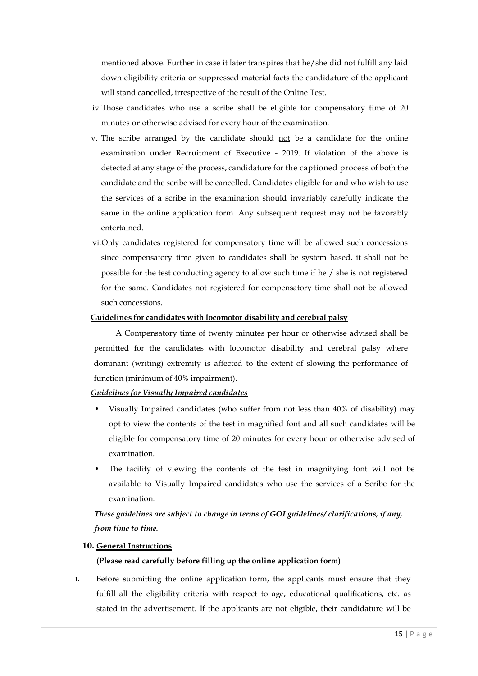mentioned above. Further in case it later transpires that he/she did not fulfill any laid down eligibility criteria or suppressed material facts the candidature of the applicant will stand cancelled, irrespective of the result of the Online Test.

- iv.Those candidates who use a scribe shall be eligible for compensatory time of 20 minutes or otherwise advised for every hour of the examination.
- v. The scribe arranged by the candidate should not be a candidate for the online examination under Recruitment of Executive - 2019. If violation of the above is detected at any stage of the process, candidature for the captioned process of both the candidate and the scribe will be cancelled. Candidates eligible for and who wish to use the services of a scribe in the examination should invariably carefully indicate the same in the online application form. Any subsequent request may not be favorably entertained.
- vi.Only candidates registered for compensatory time will be allowed such concessions since compensatory time given to candidates shall be system based, it shall not be possible for the test conducting agency to allow such time if he / she is not registered for the same. Candidates not registered for compensatory time shall not be allowed such concessions.

#### **Guidelines for candidates with locomotor disability and cerebral palsy**

A Compensatory time of twenty minutes per hour or otherwise advised shall be permitted for the candidates with locomotor disability and cerebral palsy where dominant (writing) extremity is affected to the extent of slowing the performance of function (minimum of 40% impairment).

### *Guidelines for Visually Impaired candidates*

- Visually Impaired candidates (who suffer from not less than 40% of disability) may opt to view the contents of the test in magnified font and all such candidates will be eligible for compensatory time of 20 minutes for every hour or otherwise advised of examination.
- The facility of viewing the contents of the test in magnifying font will not be available to Visually Impaired candidates who use the services of a Scribe for the examination.

*These guidelines are subject to change in terms of GOI guidelines/ clarifications, if any, from time to time.*

#### **10. General Instructions**

### **(Please read carefully before filling up the online application form)**

i. Before submitting the online application form, the applicants must ensure that they fulfill all the eligibility criteria with respect to age, educational qualifications, etc. as stated in the advertisement. If the applicants are not eligible, their candidature will be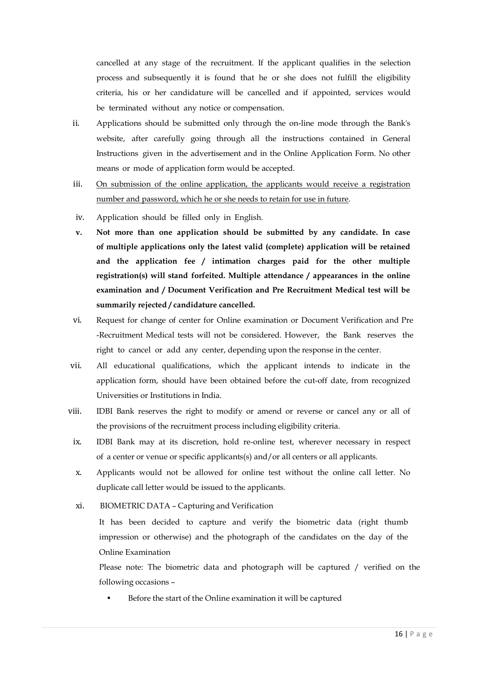cancelled at any stage of the recruitment. If the applicant qualifies in the selection process and subsequently it is found that he or she does not fulfill the eligibility criteria, his or her candidature will be cancelled and if appointed, services would be terminated without any notice or compensation.

- ii. Applications should be submitted only through the on-line mode through the Bank's website, after carefully going through all the instructions contained in General Instructions given in the advertisement and in the Online Application Form. No other means or mode of application form would be accepted.
- iii. On submission of the online application, the applicants would receive a registration number and password, which he or she needs to retain for use in future.
- iv. Application should be filled only in English.
- **v. Not more than one application should be submitted by any candidate. In case of multiple applications only the latest valid (complete) application will be retained and the application fee / intimation charges paid for the other multiple registration(s) will stand forfeited. Multiple attendance / appearances in the online examination and / Document Verification and Pre Recruitment Medical test will be summarily rejected / candidature cancelled.**
- vi. Request for change of center for Online examination or Document Verification and Pre -Recruitment Medical tests will not be considered. However, the Bank reserves the right to cancel or add any center, depending upon the response in the center.
- vii. All educational qualifications, which the applicant intends to indicate in the application form, should have been obtained before the cut-off date, from recognized Universities or Institutions in India.
- viii. IDBI Bank reserves the right to modify or amend or reverse or cancel any or all of the provisions of the recruitment process including eligibility criteria.
- ix. IDBI Bank may at its discretion, hold re-online test, wherever necessary in respect of a center or venue or specific applicants(s) and/or all centers or all applicants.
- x. Applicants would not be allowed for online test without the online call letter. No duplicate call letter would be issued to the applicants.
- xi.BIOMETRIC DATA Capturing and Verification

It has been decided to capture and verify the biometric data (right thumb impression or otherwise) and the photograph of the candidates on the day of the Online Examination

Please note: The biometric data and photograph will be captured / verified on the following occasions –

Before the start of the Online examination it will be captured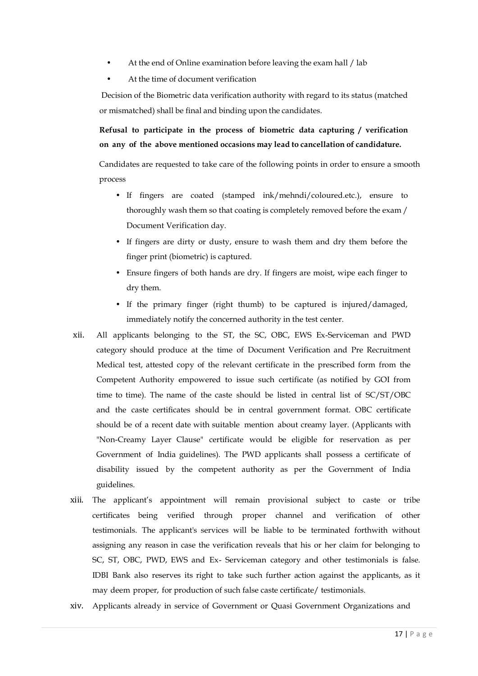- At the end of Online examination before leaving the exam hall / lab
- At the time of document verification

Decision of the Biometric data verification authority with regard to its status (matched or mismatched) shall be final and binding upon the candidates.

**Refusal to participate in the process of biometric data capturing / verification on any of the above mentioned occasions may lead to cancellation of candidature.**

Candidates are requested to take care of the following points in order to ensure a smooth process

- If fingers are coated (stamped ink/mehndi/coloured.etc.), ensure to thoroughly wash them so that coating is completely removed before the exam / Document Verification day.
- If fingers are dirty or dusty, ensure to wash them and dry them before the finger print (biometric) is captured.
- Ensure fingers of both hands are dry. If fingers are moist, wipe each finger to dry them.
- If the primary finger (right thumb) to be captured is injured/damaged, immediately notify the concerned authority in the test center.
- xii. All applicants belonging to the ST, the SC, OBC, EWS Ex-Serviceman and PWD category should produce at the time of Document Verification and Pre Recruitment Medical test, attested copy of the relevant certificate in the prescribed form from the Competent Authority empowered to issue such certificate (as notified by GOI from time to time). The name of the caste should be listed in central list of SC/ST/OBC and the caste certificates should be in central government format. OBC certificate should be of a recent date with suitable mention about creamy layer. (Applicants with "Non-Creamy Layer Clause" certificate would be eligible for reservation as per Government of India guidelines). The PWD applicants shall possess a certificate of disability issued by the competent authority as per the Government of India guidelines.
- xiii. The applicant's appointment will remain provisional subject to caste or tribe certificates being verified through proper channel and verification of other testimonials. The applicant's services will be liable to be terminated forthwith without assigning any reason in case the verification reveals that his or her claim for belonging to SC, ST, OBC, PWD, EWS and Ex- Serviceman category and other testimonials is false. IDBI Bank also reserves its right to take such further action against the applicants, as it may deem proper, for production of such false caste certificate/ testimonials.
- xiv. Applicants already in service of Government or Quasi Government Organizations and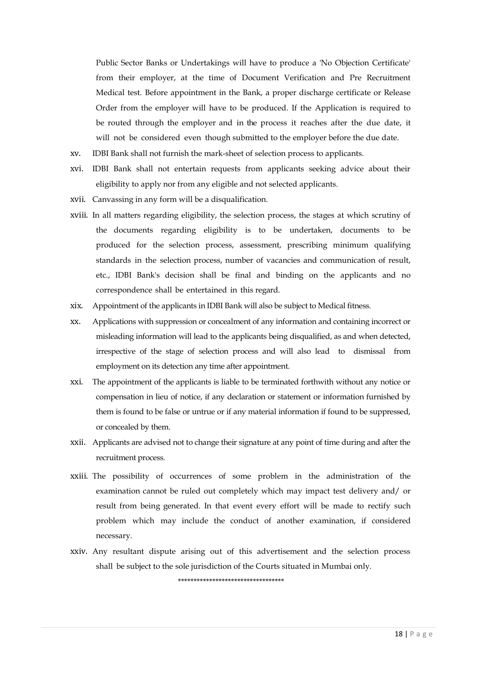Public Sector Banks or Undertakings will have to produce a 'No Objection Certificate' from their employer, at the time of Document Verification and Pre Recruitment Medical test. Before appointment in the Bank, a proper discharge certificate or Release Order from the employer will have to be produced. If the Application is required to be routed through the employer and in the process it reaches after the due date, it will not be considered even though submitted to the employer before the due date.

- xv. IDBI Bank shall not furnish the mark-sheet of selection process to applicants.
- xvi. IDBI Bank shall not entertain requests from applicants seeking advice about their eligibility to apply nor from any eligible and not selected applicants.
- xvii. Canvassing in any form will be a disqualification.
- xviii. In all matters regarding eligibility, the selection process, the stages at which scrutiny of the documents regarding eligibility is to be undertaken, documents to be produced for the selection process, assessment, prescribing minimum qualifying standards in the selection process, number of vacancies and communication of result, etc., IDBI Bank's decision shall be final and binding on the applicants and no correspondence shall be entertained in this regard.
- xix. Appointment of the applicants in IDBI Bank will also be subject to Medical fitness.
- xx. Applications with suppression or concealment of any information and containing incorrect or misleading information will lead to the applicants being disqualified, as and when detected, irrespective of the stage of selection process and will also lead to dismissal from employment on its detection any time after appointment.
- xxi. The appointment of the applicants is liable to be terminated forthwith without any notice or compensation in lieu of notice, if any declaration or statement or information furnished by them is found to be false or untrue or if any material information if found to be suppressed, or concealed by them.
- xxii. Applicants are advised not to change their signature at any point of time during and after the recruitment process.
- xxiii. The possibility of occurrences of some problem in the administration of the examination cannot be ruled out completely which may impact test delivery and/ or result from being generated. In that event every effort will be made to rectify such problem which may include the conduct of another examination, if considered necessary.
- xxiv. Any resultant dispute arising out of this advertisement and the selection process shall be subject to the sole jurisdiction of the Courts situated in Mumbai only.

\*\*\*\*\*\*\*\*\*\*\*\*\*\*\*\*\*\*\*\*\*\*\*\*\*\*\*\*\*\*\*\*\*\*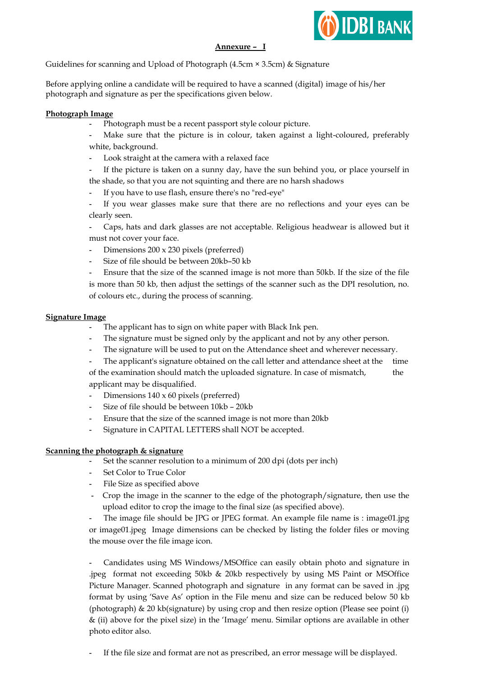

## **Annexure – I**

Guidelines for scanning and Upload of Photograph (4.5cm × 3.5cm) & Signature

Before applying online a candidate will be required to have a scanned (digital) image of his/her photograph and signature as per the specifications given below.

## **Photograph Image**

- **-** Photograph must be a recent passport style colour picture.
- Make sure that the picture is in colour, taken against a light-coloured, preferably white, background.
- **-** Look straight at the camera with a relaxed face
- **-** If the picture is taken on a sunny day, have the sun behind you, or place yourself in the shade, so that you are not squinting and there are no harsh shadows
- **-** If you have to use flash, ensure there's no "red-eye"
- **-** If you wear glasses make sure that there are no reflections and your eyes can be clearly seen.
- **-** Caps, hats and dark glasses are not acceptable. Religious headwear is allowed but it must not cover your face.
- **-** Dimensions 200 x 230 pixels (preferred)
- **-** Size of file should be between 20kb–50 kb

**-** Ensure that the size of the scanned image is not more than 50kb. If the size of the file is more than 50 kb, then adjust the settings of the scanner such as the DPI resolution, no. of colours etc., during the process of scanning.

### **Signature Image**

- **-** The applicant has to sign on white paper with Black Ink pen.
- **-** The signature must be signed only by the applicant and not by any other person.
- The signature will be used to put on the Attendance sheet and wherever necessary.
- **-** The applicant's signature obtained on the call letter and attendance sheet at the time

of the examination should match the uploaded signature. In case of mismatch, the applicant may be disqualified.

- **-** Dimensions 140 x 60 pixels (preferred)
- **-** Size of file should be between 10kb 20kb
- **-** Ensure that the size of the scanned image is not more than 20kb
- **-** Signature in CAPITAL LETTERS shall NOT be accepted.

### **Scanning the photograph & signature**

- **-** Set the scanner resolution to a minimum of 200 dpi (dots per inch)
- **-** Set Color to True Color
- **-** File Size as specified above
- **-** Crop the image in the scanner to the edge of the photograph/signature, then use the upload editor to crop the image to the final size (as specified above).

**-** The image file should be JPG or JPEG format. An example file name is : image01.jpg or image01.jpeg Image dimensions can be checked by listing the folder files or moving the mouse over the file image icon.

**-** Candidates using MS Windows/MSOffice can easily obtain photo and signature in .jpeg format not exceeding 50kb & 20kb respectively by using MS Paint or MSOffice Picture Manager. Scanned photograph and signature in any format can be saved in .jpg format by using 'Save As' option in the File menu and size can be reduced below 50 kb (photograph) & 20 kb(signature) by using crop and then resize option (Please see point (i) & (ii) above for the pixel size) in the 'Image' menu. Similar options are available in other photo editor also.

**-** If the file size and format are not as prescribed, an error message will be displayed.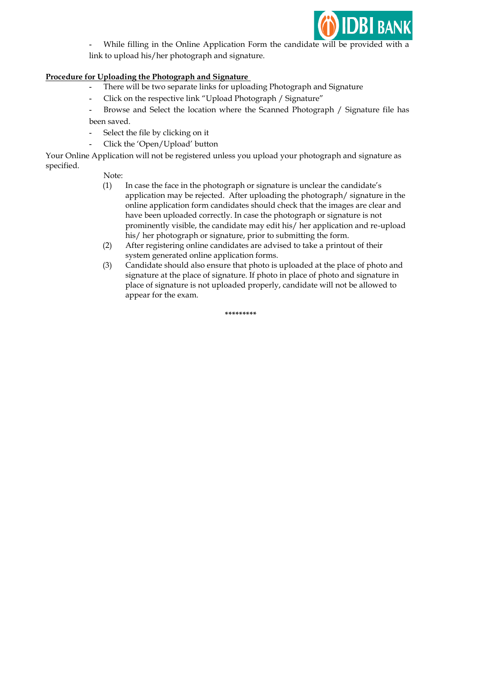

**-** While filling in the Online Application Form the candidate will be provided with a link to upload his/her photograph and signature.

### **Procedure for Uploading the Photograph and Signature**

- **-** There will be two separate links for uploading Photograph and Signature
- **-** Click on the respective link "Upload Photograph / Signature"

**-** Browse and Select the location where the Scanned Photograph / Signature file has been saved.

- **-** Select the file by clicking on it
- **-** Click the 'Open/Upload' button

Your Online Application will not be registered unless you upload your photograph and signature as specified.

Note:

- (1) In case the face in the photograph or signature is unclear the candidate's application may be rejected. After uploading the photograph/ signature in the online application form candidates should check that the images are clear and have been uploaded correctly. In case the photograph or signature is not prominently visible, the candidate may edit his/ her application and re-upload his/ her photograph or signature, prior to submitting the form.
- (2) After registering online candidates are advised to take a printout of their system generated online application forms.
- (3) Candidate should also ensure that photo is uploaded at the place of photo and signature at the place of signature. If photo in place of photo and signature in place of signature is not uploaded properly, candidate will not be allowed to appear for the exam.

**\*\*\*\*\*\*\*\*\***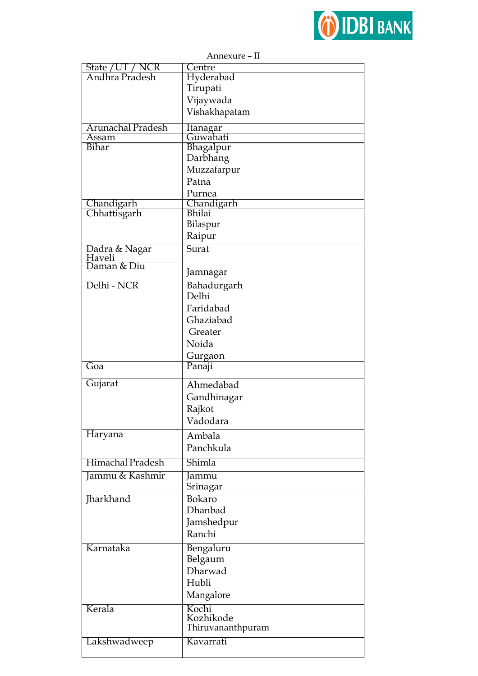

| State / UT / NCR<br>Andhra Pradesh | Centre<br>Hyderabad  |
|------------------------------------|----------------------|
|                                    | Tirupati             |
|                                    | Vijaywada            |
|                                    |                      |
|                                    | Vishakhapatam        |
| Arunachal Pradesh                  | Itanagar             |
| Assam                              | Guwahati             |
| Bihar                              | Bhagalpur            |
|                                    | Darbhang             |
|                                    | Muzzafarpur          |
|                                    | Patna                |
|                                    | Purnea               |
| Chandigarh<br>Chhattisgarh         | Chandigarh<br>Bhilai |
|                                    |                      |
|                                    | Bilaspur             |
|                                    | Raipur               |
| Dadra & Nagar                      | Surat                |
| Haveli<br>Daman & Diu              |                      |
|                                    | Jamnagar             |
| Delhi - NCR                        | Bahadurgarh          |
|                                    | Delhi                |
|                                    | Faridabad            |
|                                    | Ghaziabad            |
|                                    | Greater              |
|                                    | Noida                |
|                                    | Gurgaon              |
|                                    |                      |
| Goa                                | Panaji               |
|                                    |                      |
| Gujarat                            | Ahmedabad            |
|                                    | Gandhinagar          |
|                                    | Rajkot               |
|                                    | Vadodara             |
| Haryana                            | Ambala               |
|                                    | Panchkula            |
|                                    |                      |
| Himachal Pradesh                   | Shimla               |
| Jammu & Kashmir                    | Jammu                |
|                                    | Srinagar             |
| Jharkhand                          | Bokaro               |
|                                    | <b>Dhanbad</b>       |
|                                    | Jamshedpur           |
|                                    | Ranchi               |
| Karnataka                          | Bengaluru            |
|                                    | Belgaum              |
|                                    | Dharwad              |
|                                    | Hubli                |
|                                    |                      |
|                                    | Mangalore            |
| Kerala                             | Kochi<br>Kozhikode   |
|                                    | Thiruvananthpuram    |
| Lakshwadweep                       | Kavarrati            |

 $\alpha$